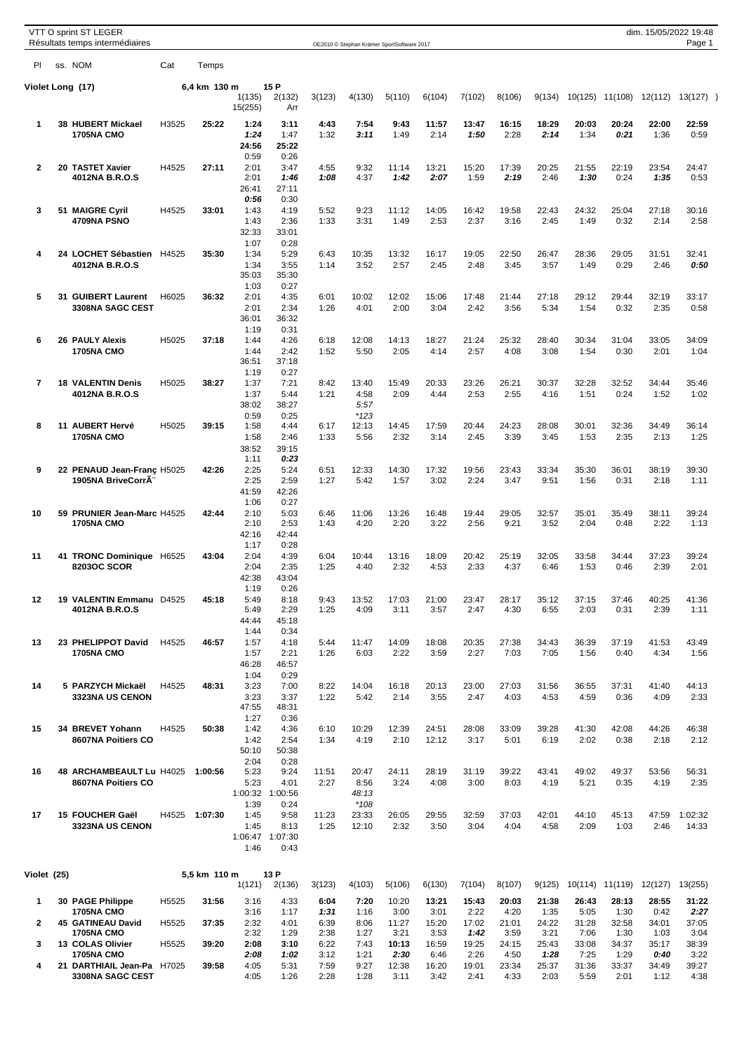|                | VTT O sprint ST LEGER<br>Résultats temps intermédiaires       |       |              |                                         |                                         |                      | OE2010 © Stephan Krämer SportSoftware 2017 |                       |                       |                       |                       |                       |                       |                       |                       | dim. 15/05/2022 19:48<br>Page 1 |
|----------------|---------------------------------------------------------------|-------|--------------|-----------------------------------------|-----------------------------------------|----------------------|--------------------------------------------|-----------------------|-----------------------|-----------------------|-----------------------|-----------------------|-----------------------|-----------------------|-----------------------|---------------------------------|
| PI             | ss. NOM                                                       | Cat   | Temps        |                                         |                                         |                      |                                            |                       |                       |                       |                       |                       |                       |                       |                       |                                 |
|                | Violet Long (17)                                              |       | 6,4 km 130 m | 1(135)                                  | 15 P<br>2(132)                          | 3(123)               | 4(130)                                     | 5(110)                | 6(104)                | 7(102)                | 8(106)                | 9(134)                | 10(125)               | 11(108)               | 12(112)               | 13(127)                         |
|                |                                                               |       |              | 15(255)                                 | Arr                                     |                      |                                            |                       |                       |                       |                       |                       |                       |                       |                       |                                 |
| $\mathbf 1$    | 38 HUBERT Mickael<br><b>1705NA CMO</b>                        | H3525 | 25:22        | 1:24<br>1:24<br>24:56<br>0:59           | 3:11<br>1:47<br>25:22<br>0:26           | 4:43<br>1:32         | 7:54<br>3:11                               | 9:43<br>1:49          | 11:57<br>2:14         | 13:47<br>1:50         | 16:15<br>2:28         | 18:29<br>2:14         | 20:03<br>1:34         | 20:24<br>0:21         | 22:00<br>1:36         | 22:59<br>0:59                   |
| $\overline{2}$ | 20 TASTET Xavier<br>4012NA B.R.O.S                            | H4525 | 27:11        | 2:01<br>2:01<br>26:41<br>0:56           | 3:47<br>1:46<br>27:11                   | 4:55<br>1:08         | 9:32<br>4:37                               | 11:14<br>1:42         | 13:21<br>2:07         | 15:20<br>1:59         | 17:39<br>2:19         | 20:25<br>2:46         | 21:55<br>1:30         | 22:19<br>0:24         | 23:54<br>1:35         | 24:47<br>0:53                   |
| 3              | 51 MAIGRE Cyril<br>4709NA PSNO                                | H4525 | 33:01        | 1:43<br>1:43<br>32:33                   | 0:30<br>4:19<br>2:36<br>33:01           | 5:52<br>1:33         | 9:23<br>3:31                               | 11:12<br>1:49         | 14:05<br>2:53         | 16:42<br>2:37         | 19:58<br>3:16         | 22:43<br>2:45         | 24:32<br>1:49         | 25:04<br>0:32         | 27:18<br>2:14         | 30:16<br>2:58                   |
| 4              | 24 LOCHET Sébastien<br>4012NA B.R.O.S                         | H4525 | 35:30        | 1:07<br>1:34<br>1:34<br>35:03           | 0:28<br>5:29<br>3:55<br>35:30           | 6:43<br>1:14         | 10:35<br>3:52                              | 13:32<br>2:57         | 16:17<br>2:45         | 19:05<br>2:48         | 22:50<br>3:45         | 26:47<br>3:57         | 28:36<br>1:49         | 29:05<br>0:29         | 31:51<br>2:46         | 32:41<br>0:50                   |
| 5              | 31 GUIBERT Laurent<br>3308NA SAGC CEST                        | H6025 | 36:32        | 1:03<br>2:01<br>2:01<br>36:01           | 0:27<br>4:35<br>2:34<br>36:32           | 6:01<br>1:26         | 10:02<br>4:01                              | 12:02<br>2:00         | 15:06<br>3:04         | 17:48<br>2:42         | 21:44<br>3:56         | 27:18<br>5:34         | 29:12<br>1:54         | 29:44<br>0:32         | 32:19<br>2:35         | 33:17<br>0:58                   |
| 6              | <b>26 PAULY Alexis</b><br>1705NA CMO                          | H5025 | 37:18        | 1:19<br>1:44<br>1:44<br>36:51           | 0:31<br>4:26<br>2:42<br>37:18           | 6:18<br>1:52         | 12:08<br>5:50                              | 14:13<br>2:05         | 18:27<br>4:14         | 21:24<br>2:57         | 25:32<br>4:08         | 28:40<br>3:08         | 30:34<br>1:54         | 31:04<br>0:30         | 33:05<br>2:01         | 34:09<br>1:04                   |
| $\overline{7}$ | <b>18 VALENTIN Denis</b><br>4012NA B.R.O.S                    | H5025 | 38:27        | 1:19<br>1:37<br>1:37<br>38:02           | 0:27<br>7:21<br>5:44<br>38:27           | 8:42<br>1:21         | 13:40<br>4:58<br>5:57                      | 15:49<br>2:09         | 20:33<br>4:44         | 23:26<br>2:53         | 26:21<br>2:55         | 30:37<br>4:16         | 32:28<br>1:51         | 32:52<br>0:24         | 34:44<br>1:52         | 35:46<br>1:02                   |
| 8              | 11 AUBERT Hervé<br><b>1705NA CMO</b>                          | H5025 | 39:15        | 0:59<br>1:58<br>1:58<br>38:52           | 0:25<br>4:44<br>2:46<br>39:15           | 6:17<br>1:33         | $*123$<br>12:13<br>5:56                    | 14:45<br>2:32         | 17:59<br>3:14         | 20:44<br>2:45         | 24:23<br>3:39         | 28:08<br>3:45         | 30:01<br>1:53         | 32:36<br>2:35         | 34:49<br>2:13         | 36:14<br>1:25                   |
| 9              | 22 PENAUD Jean-Franç H5025<br>1905NA BriveCorrÂ               |       | 42:26        | 1:11<br>2:25<br>2:25<br>41:59           | 0:23<br>5:24<br>2:59<br>42:26           | 6:51<br>1:27         | 12:33<br>5:42                              | 14:30<br>1:57         | 17:32<br>3:02         | 19:56<br>2:24         | 23:43<br>3:47         | 33:34<br>9:51         | 35:30<br>1:56         | 36:01<br>0:31         | 38:19<br>2:18         | 39:30<br>1:11                   |
| 10             | 59 PRUNIER Jean-Marc H4525<br><b>1705NA CMO</b>               |       | 42:44        | 1:06<br>2:10<br>2:10<br>42:16           | 0:27<br>5:03<br>2:53<br>42:44           | 6:46<br>1:43         | 11:06<br>4:20                              | 13:26<br>2:20         | 16:48<br>3:22         | 19:44<br>2:56         | 29:05<br>9:21         | 32:57<br>3:52         | 35:01<br>2:04         | 35:49<br>0:48         | 38:11<br>2:22         | 39:24<br>1:13                   |
| 11             | 41 TRONC Dominique H6525<br><b>8203OC SCOR</b>                |       | 43:04        | 1:17<br>2:04<br>2:04<br>42:38           | 0:28<br>4:39<br>2:35<br>43:04           | 6:04<br>1:25         | 10:44<br>4:40                              | 13:16<br>2:32         | 18:09<br>4:53         | 20:42<br>2:33         | 25:19<br>4:37         | 32:05<br>6:46         | 33:58<br>1:53         | 34:44<br>0:46         | 37:23<br>2:39         | 39:24<br>2:01                   |
| 12             | 19 VALENTIN Emmanu D4525<br>4012NA B.R.O.S                    |       | 45:18        | 1:19<br>5:49<br>5:49<br>44:44           | 0:26<br>8:18<br>2:29<br>45:18           | 9:43<br>1:25         | 13:52<br>4:09                              | 17:03<br>3:11         | 21:00<br>3:57         | 23:47<br>2:47         | 28:17<br>4:30         | 35:12<br>6:55         | 37:15<br>2:03         | 37:46<br>0:31         | 40:25<br>2:39         | 41:36<br>1:11                   |
| 13             | 23 PHELIPPOT David<br><b>1705NA CMO</b>                       | H4525 | 46:57        | 1:44<br>1:57<br>1:57<br>46:28           | 0:34<br>4:18<br>2:21<br>46:57           | 5:44<br>1:26         | 11:47<br>6:03                              | 14:09<br>2:22         | 18:08<br>3:59         | 20:35<br>2:27         | 27:38<br>7:03         | 34:43<br>7:05         | 36:39<br>1:56         | 37:19<br>0:40         | 41:53<br>4:34         | 43:49<br>1:56                   |
| 14             | 5 PARZYCH Mickaël<br>3323NA US CENON                          | H4525 | 48:31        | 1:04<br>3:23<br>3:23<br>47:55           | 0:29<br>7:00<br>3:37<br>48:31           | 8:22<br>1:22         | 14:04<br>5:42                              | 16:18<br>2:14         | 20:13<br>3:55         | 23:00<br>2:47         | 27:03<br>4:03         | 31:56<br>4:53         | 36:55<br>4:59         | 37:31<br>0:36         | 41:40<br>4:09         | 44:13<br>2:33                   |
| 15             | 34 BREVET Yohann<br>8607NA Poitiers CO                        | H4525 | 50:38        | 1:27<br>1:42<br>1:42<br>50:10           | 0:36<br>4:36<br>2:54<br>50:38           | 6:10<br>1:34         | 10:29<br>4:19                              | 12:39<br>2:10         | 24:51<br>12:12        | 28:08<br>3:17         | 33:09<br>5:01         | 39:28<br>6:19         | 41:30<br>2:02         | 42:08<br>0:38         | 44:26<br>2:18         | 46:38<br>2:12                   |
| 16             | 48 ARCHAMBEAULT Lu H4025<br>8607NA Poitiers CO                |       | 1:00:56      | 2:04<br>5:23<br>5:23<br>1:00:32         | 0:28<br>9:24<br>4:01<br>1:00:56         | 11:51<br>2:27        | 20:47<br>8:56<br>48:13                     | 24:11<br>3:24         | 28:19<br>4:08         | 31:19<br>3:00         | 39:22<br>8:03         | 43:41<br>4:19         | 49:02<br>5:21         | 49:37<br>0:35         | 53:56<br>4:19         | 56:31<br>2:35                   |
| 17             | 15 FOUCHER Gaël<br>3323NA US CENON                            | H4525 | 1:07:30      | 1:39<br>1:45<br>1:45<br>1:06:47<br>1:46 | 0:24<br>9:58<br>8:13<br>1:07:30<br>0:43 | 11:23<br>1:25        | $*108$<br>23:33<br>12:10                   | 26:05<br>2:32         | 29:55<br>3:50         | 32:59<br>3:04         | 37:03<br>4:04         | 42:01<br>4:58         | 44:10<br>2:09         | 45:13<br>1:03         | 47:59<br>2:46         | 1:02:32<br>14:33                |
| Violet (25)    |                                                               |       | 5,5 km 110 m |                                         | 13 P                                    |                      |                                            |                       |                       |                       |                       |                       |                       |                       |                       |                                 |
| $\mathbf{1}$   | 30 PAGE Philippe                                              | H5525 | 31:56        | 1(121)<br>3:16                          | 2(136)<br>4:33                          | 3(123)<br>6:04       | 4(103)<br>7:20                             | 5(106)<br>10:20       | 6(130)<br>13:21       | 7(104)<br>15:43       | 8(107)<br>20:03       | 9(125)<br>21:38       | 10(114)<br>26:43      | 11(119)<br>28:13      | 12(127)<br>28:55      | 13(255)<br>31:22                |
| $\mathbf{2}$   | <b>1705NA CMO</b><br><b>45 GATINEAU David</b>                 | H5525 | 37:35        | 3:16<br>2:32                            | 1:17<br>4:01                            | 1:31<br>6:39         | 1:16<br>8:06                               | 3:00<br>11:27         | 3:01<br>15:20         | 2:22<br>17:02         | 4:20<br>21:01         | 1:35<br>24:22         | 5:05<br>31:28         | 1:30<br>32:58         | 0:42<br>34:01         | 2:27<br>37:05                   |
| 3              | <b>1705NA CMO</b><br>13 COLAS Olivier                         | H5525 | 39:20        | 2:32<br>2:08                            | 1:29<br>3:10                            | 2:38<br>6:22         | 1:27<br>7:43                               | 3:21<br>10:13         | 3:53<br>16:59         | 1:42<br>19:25         | 3:59<br>24:15         | 3:21<br>25:43         | 7:06<br>33:08         | 1:30<br>34:37         | 1:03<br>35:17         | 3:04<br>38:39                   |
| 4              | <b>1705NA CMO</b><br>21 DARTHIAIL Jean-Pa<br>3308NA SAGC CEST | H7025 | 39:58        | 2:08<br>4:05<br>4:05                    | 1:02<br>5:31<br>1:26                    | 3:12<br>7:59<br>2:28 | 1:21<br>9:27<br>1:28                       | 2:30<br>12:38<br>3:11 | 6:46<br>16:20<br>3:42 | 2:26<br>19:01<br>2:41 | 4:50<br>23:34<br>4:33 | 1:28<br>25:37<br>2:03 | 7:25<br>31:36<br>5:59 | 1:29<br>33:37<br>2:01 | 0:40<br>34:49<br>1:12 | 3:22<br>39:27<br>4:38           |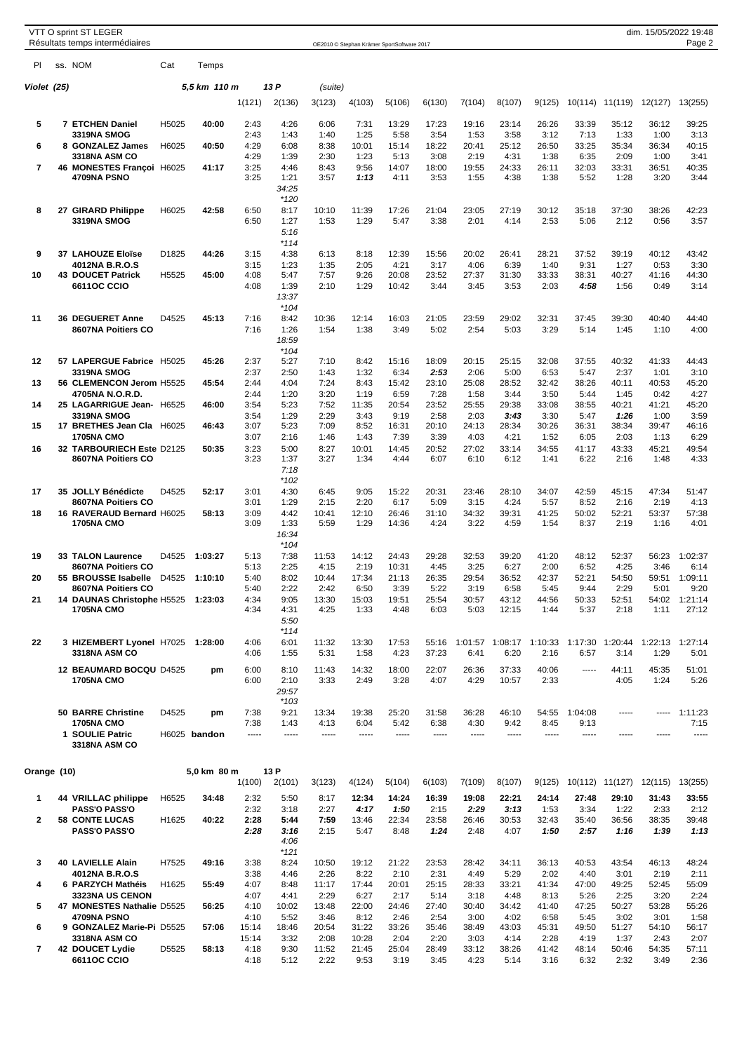| im. 15/05/2022 19:48 |  |  |       |  |
|----------------------|--|--|-------|--|
|                      |  |  | Daga' |  |

| PI.            |    | ss. NOM                                                              | Cat   | Temps         |                      |                                 |                       |                       |                        |                       |                       |                       |                       |                                                 |                       |                       |                       |
|----------------|----|----------------------------------------------------------------------|-------|---------------|----------------------|---------------------------------|-----------------------|-----------------------|------------------------|-----------------------|-----------------------|-----------------------|-----------------------|-------------------------------------------------|-----------------------|-----------------------|-----------------------|
| Violet (25)    |    |                                                                      |       | 5,5 km  110 m |                      | 13 P                            | (suite)               |                       |                        |                       |                       |                       |                       |                                                 |                       |                       |                       |
|                |    |                                                                      |       |               | 1(121)               | 2(136)                          | 3(123)                | 4(103)                | 5(106)                 | 6(130)                | 7(104)                | 8(107)                | 9(125)                |                                                 | 10(114) 11(119)       | 12(127)               | 13(255)               |
| 5              |    | 7 ETCHEN Daniel                                                      | H5025 | 40:00         | 2:43<br>2:43         | 4:26<br>1:43                    | 6:06                  | 7:31<br>1:25          | 13:29                  | 17:23<br>3:54         | 19:16                 | 23:14                 | 26:26                 | 33:39                                           | 35:12                 | 36:12                 | 39:25                 |
| 6              |    | <b>3319NA SMOG</b><br>8 GONZALEZ James                               | H6025 | 40:50         | 4:29                 | 6:08                            | 1:40<br>8:38          | 10:01                 | 5:58<br>15:14          | 18:22                 | 1:53<br>20:41         | 3:58<br>25:12         | 3:12<br>26:50         | 7:13<br>33:25                                   | 1:33<br>35:34         | 1:00<br>36:34         | 3:13<br>40:15         |
| $\overline{7}$ |    | 3318NA ASM CO<br>46 MONESTES Françoi H6025                           |       | 41:17         | 4:29<br>3:25         | 1:39<br>4:46                    | 2:30<br>8:43          | 1:23<br>9:56          | 5:13<br>14:07          | 3:08<br>18:00         | 2:19<br>19:55         | 4:31<br>24:33         | 1:38<br>26:11         | 6:35<br>32:03                                   | 2:09<br>33:31         | 1:00<br>36:51         | 3:41<br>40:35         |
|                |    | 4709NA PSNO                                                          |       |               | 3:25                 | 1:21<br>34:25<br>$*120$         | 3:57                  | 1:13                  | 4:11                   | 3:53                  | 1:55                  | 4:38                  | 1:38                  | 5:52                                            | 1:28                  | 3:20                  | 3:44                  |
| 8              | 27 | <b>GIRARD Philippe</b><br><b>3319NA SMOG</b>                         | H6025 | 42:58         | 6:50<br>6:50         | 8:17<br>1:27                    | 10:10<br>1:53         | 11:39<br>1:29         | 17:26<br>5:47          | 21:04<br>3:38         | 23:05<br>2:01         | 27:19<br>4:14         | 30:12<br>2:53         | 35:18<br>5:06                                   | 37:30<br>2:12         | 38:26<br>0:56         | 42:23<br>3:57         |
|                |    |                                                                      |       |               |                      | 5:16<br>$*114$                  |                       |                       |                        |                       |                       |                       |                       |                                                 |                       |                       |                       |
| 9              |    | 37 LAHOUZE Eloïse<br>4012NA B.R.O.S                                  | D1825 | 44:26         | 3:15<br>3:15         | 4:38<br>1:23                    | 6:13<br>1:35          | 8:18<br>2:05          | 12:39<br>4:21          | 15:56<br>3:17         | 20:02<br>4:06         | 26:41<br>6:39         | 28:21<br>1:40         | 37:52<br>9:31                                   | 39:19<br>1:27         | 40:12<br>0:53         | 43:42<br>3:30         |
| 10             |    | <b>43 DOUCET Patrick</b><br><b>6611OC CCIO</b>                       | H5525 | 45:00         | 4:08<br>4:08         | 5:47<br>1:39<br>13:37           | 7:57<br>2:10          | 9:26<br>1:29          | 20:08<br>10:42         | 23:52<br>3:44         | 27:37<br>3:45         | 31:30<br>3:53         | 33:33<br>2:03         | 38:31<br>4:58                                   | 40:27<br>1:56         | 41:16<br>0:49         | 44:30<br>3:14         |
| 11             |    | 36 DEGUERET Anne<br>8607NA Poitiers CO                               | D4525 | 45:13         | 7:16<br>7:16         | $*104$<br>8:42<br>1:26<br>18:59 | 10:36<br>1:54         | 12:14<br>1:38         | 16:03<br>3:49          | 21:05<br>5:02         | 23:59<br>2:54         | 29:02<br>5:03         | 32:31<br>3:29         | 37:45<br>5:14                                   | 39:30<br>1:45         | 40:40<br>1:10         | 44:40<br>4:00         |
| $12 \,$        |    | 57 LAPERGUE Fabrice H5025                                            |       | 45:26         | 2:37                 | $*104$<br>5:27                  | 7:10                  | 8:42                  | 15:16                  | 18:09                 | 20:15                 | 25:15                 | 32:08                 | 37:55                                           | 40:32                 | 41:33                 | 44:43                 |
| 13             |    | 3319NA SMOG<br>56 CLEMENCON Jerom H5525                              |       | 45:54         | 2:37<br>2:44         | 2:50<br>4:04                    | 1:43<br>7:24          | 1:32<br>8:43          | 6:34<br>15:42          | 2:53<br>23:10         | 2:06<br>25:08         | 5:00<br>28:52         | 6:53<br>32:42         | 5:47<br>38:26                                   | 2:37<br>40:11         | 1:01<br>40:53         | 3:10<br>45:20         |
| 14             |    | 4705NA N.O.R.D.<br>25 LAGARRIGUE Jean- H6525                         |       | 46:00         | 2:44<br>3:54         | 1:20<br>5:23                    | 3:20<br>7:52          | 1:19<br>11:35         | 6:59<br>20:54          | 7:28<br>23:52         | 1:58<br>25:55         | 3:44<br>29:38         | 3:50<br>33:08         | 5:44<br>38:55                                   | 1:45<br>40:21         | 0:42<br>41:21         | 4:27<br>45:20         |
|                |    | 3319NA SMOG                                                          |       |               | 3:54                 | 1:29                            | 2:29                  | 3:43                  | 9:19                   | 2:58                  | 2:03                  | 3:43                  | 3:30                  | 5:47                                            | 1:26                  | 1:00                  | 3:59                  |
| 15             |    | 17 BRETHES Jean Cla H6025<br><b>1705NA CMO</b>                       |       | 46:43         | 3:07<br>3:07         | 5:23<br>2:16                    | 7:09<br>1:46          | 8:52<br>1:43          | 16:31<br>7:39          | 20:10<br>3:39         | 24:13<br>4:03         | 28:34<br>4:21         | 30:26<br>1:52         | 36:31<br>6:05                                   | 38:34<br>2:03         | 39:47<br>1:13         | 46:16<br>6:29         |
| 16             |    | 32 TARBOURIECH Este D2125<br>8607NA Poitiers CO                      |       | 50:35         | 3:23<br>3:23         | 5:00<br>1:37<br>7:18<br>$*102$  | 8:27<br>3:27          | 10:01<br>1:34         | 14:45<br>4:44          | 20:52<br>6:07         | 27:02<br>6:10         | 33:14<br>6:12         | 34:55<br>1:41         | 41:17<br>6:22                                   | 43:33<br>2:16         | 45:21<br>1:48         | 49:54<br>4:33         |
| 17             |    | 35 JOLLY Bénédicte                                                   | D4525 | 52:17         | 3:01                 | 4:30                            | 6:45                  | 9:05                  | 15:22                  | 20:31                 | 23:46                 | 28:10                 | 34:07                 | 42:59                                           | 45:15                 | 47:34                 | 51:47                 |
| 18             |    | 8607NA Poitiers CO<br>16 RAVERAUD Bernard H6025<br><b>1705NA CMO</b> |       | 58:13         | 3:01<br>3:09<br>3:09 | 1:29<br>4:42<br>1:33            | 2:15<br>10:41<br>5:59 | 2:20<br>12:10<br>1:29 | 6:17<br>26:46<br>14:36 | 5:09<br>31:10<br>4:24 | 3:15<br>34:32<br>3:22 | 4:24<br>39:31<br>4:59 | 5:57<br>41:25<br>1:54 | 8:52<br>50:02<br>8:37                           | 2:16<br>52:21<br>2:19 | 2:19<br>53:37<br>1:16 | 4:13<br>57:38<br>4:01 |
|                |    |                                                                      |       |               |                      | 16:34<br>$*104$                 |                       |                       |                        |                       |                       |                       |                       |                                                 |                       |                       |                       |
| 19             |    | <b>33 TALON Laurence</b><br>8607NA Poitiers CO                       | D4525 | 1:03:27       | 5:13<br>5:13         | 7:38<br>2:25                    | 11:53<br>4:15         | 14:12<br>2:19         | 24:43<br>10:31         | 29:28<br>4:45         | 32:53<br>3:25         | 39:20<br>6:27         | 41:20<br>2:00         | 48:12<br>6:52                                   | 52:37<br>4:25         | 56:23<br>3:46         | 1:02:37<br>6:14       |
| 20             |    | 55 BROUSSE Isabelle<br>8607NA Poitiers CO                            | D4525 | 1:10:10       | 5:40<br>5:40         | 8:02<br>2:22                    | 10:44<br>2:42         | 17:34<br>6:50         | 21:13<br>3:39          | 26:35<br>5:22         | 29:54<br>3:19         | 36:52<br>6:58         | 42:37<br>5:45         | 52:21<br>9:44                                   | 54:50<br>2:29         | 59:51<br>5:01         | 1:09:11<br>9:20       |
| 21             |    | 14 DAUNAS Christophe H5525<br><b>1705NA CMO</b>                      |       | 1:23:03       | 4:34<br>4:34         | 9:05<br>4:31<br>5:50            | 13:30<br>4:25         | 15:03<br>1:33         | 19:51<br>4:48          | 25:54<br>6:03         | 30:57<br>5:03         | 43:12<br>12:15        | 44:56<br>1:44         | 50:33<br>5:37                                   | 52:51<br>2:18         | 54:02<br>1:11         | 1:21:14<br>27:12      |
| 22             |    | 3 HIZEMBERT Lyonel H7025 1:28:00<br>3318NA ASM CO                    |       |               | 4:06<br>4:06         | $*114$<br>6:01<br>1:55          | 11:32<br>5:31         | 13:30<br>1:58         | 17:53<br>4:23          | 55:16<br>37:23        | 6:41                  | 6:20                  | 2:16                  | 1:01:57 1:08:17 1:10:33 1:17:30 1:20:44<br>6:57 | 3:14                  | 1:22:13<br>1:29       | 1:27:14<br>5:01       |
|                |    | 12 BEAUMARD BOCQU D4525                                              |       | pm            | 6:00                 | 8:10                            | 11:43                 | 14:32                 | 18:00                  | 22:07                 | 26:36                 | 37:33                 | 40:06                 | -----                                           | 44:11                 | 45:35                 | 51:01                 |
|                |    | <b>1705NA CMO</b>                                                    |       |               | 6:00                 | 2:10<br>29:57<br>$*103$         | 3:33                  | 2:49                  | 3:28                   | 4:07                  | 4:29                  | 10:57                 | 2:33                  |                                                 | 4:05                  | 1:24                  | 5:26                  |
|                |    | <b>50 BARRE Christine</b><br><b>1705NA CMO</b>                       | D4525 | pm            | 7:38<br>7:38         | 9:21<br>1:43                    | 13:34<br>4:13         | 19:38<br>6:04         | 25:20<br>5:42          | 31:58<br>6:38         | 36:28<br>4:30         | 46:10<br>9:42         | 54:55<br>8:45         | 1:04:08<br>9:13                                 | -----                 | 1.1.1.1               | 1:11:23<br>7:15       |
|                |    | 1 SOULIE Patric<br>3318NA ASM CO                                     |       | H6025 bandon  | 1.1.1.1              | -----                           | -----                 | -----                 | -----                  | -----                 | -----                 | -----                 | -----                 | -----                                           | -----                 | -----                 | -----                 |
| Orange (10)    |    |                                                                      |       | 5,0 km 80 m   | 1(100)               | 13 P<br>2(101)                  | 3(123)                | 4(124)                | 5(104)                 | 6(103)                | 7(109)                | 8(107)                | 9(125)                |                                                 | 10(112) 11(127)       | 12(115)               |                       |
| 1              |    | 44 VRILLAC philippe                                                  | H6525 | 34:48         | 2:32                 | 5:50                            | 8:17                  | 12:34                 | 14:24                  | 16:39                 | 19:08                 | 22:21                 | 24:14                 | 27:48                                           | 29:10                 | 31:43                 | 13(255)<br>33:55      |
| $\mathbf{2}$   |    | <b>PASS'O PASS'O</b><br><b>58 CONTE LUCAS</b>                        | H1625 | 40:22         | 2:32<br>2:28         | 3:18<br>5:44                    | 2:27<br>7:59          | 4:17<br>13:46         | 1:50<br>22:34          | 2:15<br>23:58         | 2:29<br>26:46         | 3:13<br>30:53         | 1:53<br>32:43         | 3:34<br>35:40                                   | 1:22<br>36:56         | 2:33<br>38:35         | 2:12<br>39:48         |
|                |    | <b>PASS'O PASS'O</b>                                                 |       |               | 2:28                 | 3:16<br>4:06<br>$*121$          | 2:15                  | 5:47                  | 8:48                   | 1:24                  | 2:48                  | 4:07                  | 1:50                  | 2:57                                            | 1:16                  | 1:39                  | 1:13                  |
| 3              |    | 40 LAVIELLE Alain                                                    | H7525 | 49:16         | 3:38                 | 8:24                            | 10:50                 | 19:12                 | 21:22                  | 23:53                 | 28:42                 | 34:11                 | 36:13                 | 40:53                                           | 43:54                 | 46:13                 | 48:24                 |
| 4              |    | 4012NA B.R.O.S<br>6 PARZYCH Mathéis                                  | H1625 | 55:49         | 3:38<br>4:07         | 4:46<br>8:48                    | 2:26<br>11:17         | 8:22<br>17:44         | 2:10<br>20:01          | 2:31<br>25:15         | 4:49<br>28:33         | 5:29<br>33:21         | 2:02<br>41:34         | 4:40<br>47:00                                   | 3:01<br>49:25         | 2:19<br>52:45         | 2:11<br>55:09         |
| 5              |    | <b>3323NA US CENON</b><br>47 MONESTES Nathalie D5525                 |       | 56:25         | 4:07<br>4:10         | 4:41<br>10:02                   | 2:29<br>13:48         | 6:27<br>22:00         | 2:17<br>24:46          | 5:14<br>27:40         | 3:18<br>30:40         | 4:48<br>34:42         | 8:13<br>41:40         | 5:26<br>47:25                                   | 2:25<br>50:27         | 3:20<br>53:28         | 2:24<br>55:26         |
| 6              |    | 4709NA PSNO<br>9 GONZALEZ Marie-Pi D5525                             |       | 57:06         | 4:10<br>15:14        | 5:52<br>18:46                   | 3:46<br>20:54         | 8:12<br>31:22         | 2:46<br>33:26          | 2:54<br>35:46         | 3:00<br>38:49         | 4:02<br>43:03         | 6:58<br>45:31         | 5:45<br>49:50                                   | 3:02<br>51:27         | 3:01<br>54:10         | 1:58<br>56:17         |
| $\overline{7}$ |    | 3318NA ASM CO<br>42 DOUCET Lydie                                     | D5525 | 58:13         | 15:14<br>4:18        | 3:32<br>9:30                    | 2:08<br>11:52         | 10:28<br>21:45        | 2:04<br>25:04          | 2:20<br>28:49         | 3:03<br>33:12         | 4:14<br>38:26         | 2:28<br>41:42         | 4:19<br>48:14                                   | 1:37<br>50:46         | 2:43<br>54:35         | 2:07<br>57:11         |
|                |    | <b>6611OC CCIO</b>                                                   |       |               | 4:18                 | 5:12                            | 2:22                  | 9:53                  | 3:19                   | 3:45                  | 4:23                  | 5:14                  | 3:16                  | 6:32                                            | 2:32                  | 3:49                  | 2:36                  |